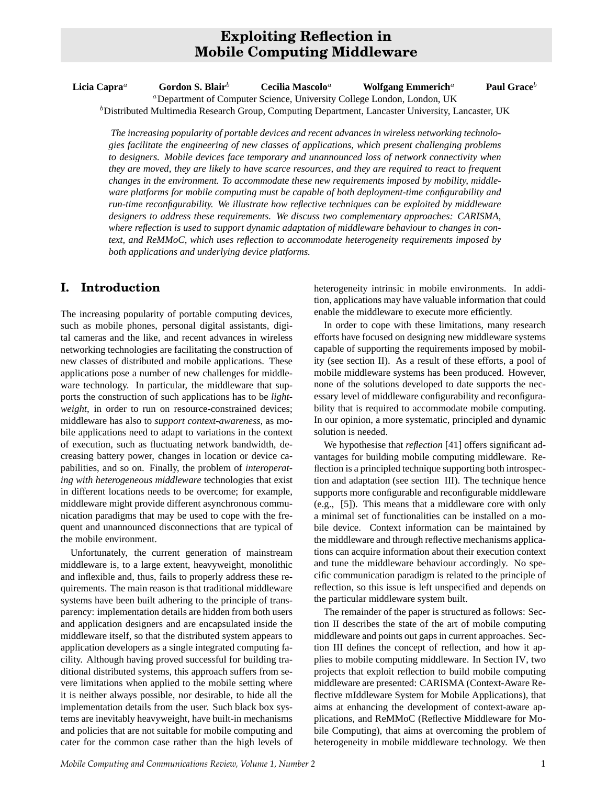# **Exploiting Reflection in Mobile Computing Middleware**

**Licia Capra**<sup>a</sup> **Gordon S. Blair**<sup>b</sup> **Cecilia Mascolo**<sup>a</sup> **Wolfgang Emmerich**<sup>a</sup> **Paul Grace**<sup>b</sup> <sup>a</sup>Department of Computer Science, University College London, London, UK  $<sup>b</sup>$ Distributed Multimedia Research Group, Computing Department, Lancaster University, Lancaster, UK</sup>

*The increasing popularity of portable devices and recent advances in wireless networking technologies facilitate the engineering of new classes of applications, which present challenging problems to designers. Mobile devices face temporary and unannounced loss of network connectivity when they are moved, they are likely to have scarce resources, and they are required to react to frequent changes in the environment. To accommodate these new requirements imposed by mobility, middleware platforms for mobile computing must be capable of both deployment-time configurability and run-time reconfigurability. We illustrate how reflective techniques can be exploited by middleware designers to address these requirements. We discuss two complementary approaches: CARISMA, where reflection is used to support dynamic adaptation of middleware behaviour to changes in context, and ReMMoC, which uses reflection to accommodate heterogeneity requirements imposed by both applications and underlying device platforms.*

### **I. Introduction**

The increasing popularity of portable computing devices, such as mobile phones, personal digital assistants, digital cameras and the like, and recent advances in wireless networking technologies are facilitating the construction of new classes of distributed and mobile applications. These applications pose a number of new challenges for middleware technology. In particular, the middleware that supports the construction of such applications has to be *lightweight*, in order to run on resource-constrained devices; middleware has also to *support context-awareness*, as mobile applications need to adapt to variations in the context of execution, such as fluctuating network bandwidth, decreasing battery power, changes in location or device capabilities, and so on. Finally, the problem of *interoperating with heterogeneous middleware* technologies that exist in different locations needs to be overcome; for example, middleware might provide different asynchronous communication paradigms that may be used to cope with the frequent and unannounced disconnections that are typical of the mobile environment.

Unfortunately, the current generation of mainstream middleware is, to a large extent, heavyweight, monolithic and inflexible and, thus, fails to properly address these requirements. The main reason is that traditional middleware systems have been built adhering to the principle of transparency: implementation details are hidden from both users and application designers and are encapsulated inside the middleware itself, so that the distributed system appears to application developers as a single integrated computing facility. Although having proved successful for building traditional distributed systems, this approach suffers from severe limitations when applied to the mobile setting where it is neither always possible, nor desirable, to hide all the implementation details from the user. Such black box systems are inevitably heavyweight, have built-in mechanisms and policies that are not suitable for mobile computing and cater for the common case rather than the high levels of heterogeneity intrinsic in mobile environments. In addition, applications may have valuable information that could enable the middleware to execute more efficiently.

In order to cope with these limitations, many research efforts have focused on designing new middleware systems capable of supporting the requirements imposed by mobility (see section II). As a result of these efforts, a pool of mobile middleware systems has been produced. However, none of the solutions developed to date supports the necessary level of middleware configurability and reconfigurability that is required to accommodate mobile computing. In our opinion, a more systematic, principled and dynamic solution is needed.

We hypothesise that *reflection* [41] offers significant advantages for building mobile computing middleware. Reflection is a principled technique supporting both introspection and adaptation (see section III). The technique hence supports more configurable and reconfigurable middleware (e.g., [5]). This means that a middleware core with only a minimal set of functionalities can be installed on a mobile device. Context information can be maintained by the middleware and through reflective mechanisms applications can acquire information about their execution context and tune the middleware behaviour accordingly. No specific communication paradigm is related to the principle of reflection, so this issue is left unspecified and depends on the particular middleware system built.

The remainder of the paper is structured as follows: Section II describes the state of the art of mobile computing middleware and points out gaps in current approaches. Section III defines the concept of reflection, and how it applies to mobile computing middleware. In Section IV, two projects that exploit reflection to build mobile computing middleware are presented: CARISMA (Context-Aware Reflective mIddleware System for Mobile Applications), that aims at enhancing the development of context-aware applications, and ReMMoC (Reflective Middleware for Mobile Computing), that aims at overcoming the problem of heterogeneity in mobile middleware technology. We then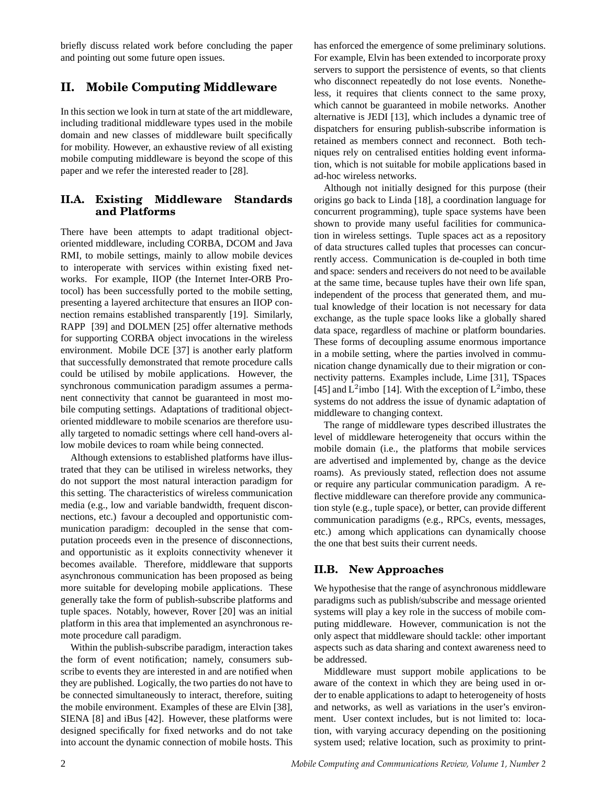briefly discuss related work before concluding the paper and pointing out some future open issues.

### **II. Mobile Computing Middleware**

In this section we look in turn at state of the art middleware, including traditional middleware types used in the mobile domain and new classes of middleware built specifically for mobility. However, an exhaustive review of all existing mobile computing middleware is beyond the scope of this paper and we refer the interested reader to [28].

### **II.A. Existing Middleware Standards and Platforms**

There have been attempts to adapt traditional objectoriented middleware, including CORBA, DCOM and Java RMI, to mobile settings, mainly to allow mobile devices to interoperate with services within existing fixed networks. For example, IIOP (the Internet Inter-ORB Protocol) has been successfully ported to the mobile setting, presenting a layered architecture that ensures an IIOP connection remains established transparently [19]. Similarly, RAPP [39] and DOLMEN [25] offer alternative methods for supporting CORBA object invocations in the wireless environment. Mobile DCE [37] is another early platform that successfully demonstrated that remote procedure calls could be utilised by mobile applications. However, the synchronous communication paradigm assumes a permanent connectivity that cannot be guaranteed in most mobile computing settings. Adaptations of traditional objectoriented middleware to mobile scenarios are therefore usually targeted to nomadic settings where cell hand-overs allow mobile devices to roam while being connected.

Although extensions to established platforms have illustrated that they can be utilised in wireless networks, they do not support the most natural interaction paradigm for this setting. The characteristics of wireless communication media (e.g., low and variable bandwidth, frequent disconnections, etc.) favour a decoupled and opportunistic communication paradigm: decoupled in the sense that computation proceeds even in the presence of disconnections, and opportunistic as it exploits connectivity whenever it becomes available. Therefore, middleware that supports asynchronous communication has been proposed as being more suitable for developing mobile applications. These generally take the form of publish-subscribe platforms and tuple spaces. Notably, however, Rover [20] was an initial platform in this area that implemented an asynchronous remote procedure call paradigm.

Within the publish-subscribe paradigm, interaction takes the form of event notification; namely, consumers subscribe to events they are interested in and are notified when they are published. Logically, the two parties do not have to be connected simultaneously to interact, therefore, suiting the mobile environment. Examples of these are Elvin [38], SIENA [8] and iBus [42]. However, these platforms were designed specifically for fixed networks and do not take into account the dynamic connection of mobile hosts. This has enforced the emergence of some preliminary solutions. For example, Elvin has been extended to incorporate proxy servers to support the persistence of events, so that clients who disconnect repeatedly do not lose events. Nonetheless, it requires that clients connect to the same proxy, which cannot be guaranteed in mobile networks. Another alternative is JEDI [13], which includes a dynamic tree of dispatchers for ensuring publish-subscribe information is retained as members connect and reconnect. Both techniques rely on centralised entities holding event information, which is not suitable for mobile applications based in ad-hoc wireless networks.

Although not initially designed for this purpose (their origins go back to Linda [18], a coordination language for concurrent programming), tuple space systems have been shown to provide many useful facilities for communication in wireless settings. Tuple spaces act as a repository of data structures called tuples that processes can concurrently access. Communication is de-coupled in both time and space: senders and receivers do not need to be available at the same time, because tuples have their own life span, independent of the process that generated them, and mutual knowledge of their location is not necessary for data exchange, as the tuple space looks like a globally shared data space, regardless of machine or platform boundaries. These forms of decoupling assume enormous importance in a mobile setting, where the parties involved in communication change dynamically due to their migration or connectivity patterns. Examples include, Lime [31], TSpaces [45] and  $L^2$ imbo [14]. With the exception of  $L^2$ imbo, these systems do not address the issue of dynamic adaptation of middleware to changing context.

The range of middleware types described illustrates the level of middleware heterogeneity that occurs within the mobile domain (i.e., the platforms that mobile services are advertised and implemented by, change as the device roams). As previously stated, reflection does not assume or require any particular communication paradigm. A reflective middleware can therefore provide any communication style (e.g., tuple space), or better, can provide different communication paradigms (e.g., RPCs, events, messages, etc.) among which applications can dynamically choose the one that best suits their current needs.

### **II.B. New Approaches**

We hypothesise that the range of asynchronous middleware paradigms such as publish/subscribe and message oriented systems will play a key role in the success of mobile computing middleware. However, communication is not the only aspect that middleware should tackle: other important aspects such as data sharing and context awareness need to be addressed.

Middleware must support mobile applications to be aware of the context in which they are being used in order to enable applications to adapt to heterogeneity of hosts and networks, as well as variations in the user's environment. User context includes, but is not limited to: location, with varying accuracy depending on the positioning system used; relative location, such as proximity to print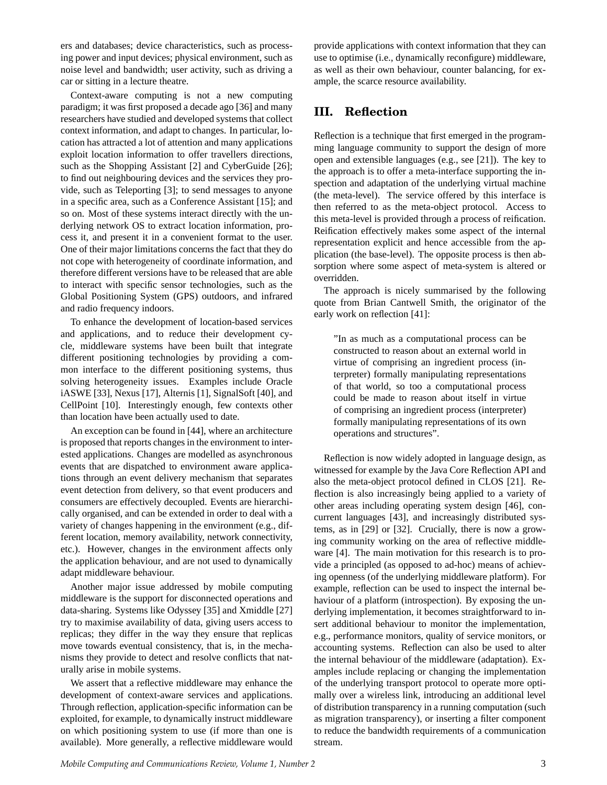ers and databases; device characteristics, such as processing power and input devices; physical environment, such as noise level and bandwidth; user activity, such as driving a car or sitting in a lecture theatre.

Context-aware computing is not a new computing paradigm; it was first proposed a decade ago [36] and many researchers have studied and developed systems that collect context information, and adapt to changes. In particular, location has attracted a lot of attention and many applications exploit location information to offer travellers directions, such as the Shopping Assistant [2] and CyberGuide [26]; to find out neighbouring devices and the services they provide, such as Teleporting [3]; to send messages to anyone in a specific area, such as a Conference Assistant [15]; and so on. Most of these systems interact directly with the underlying network OS to extract location information, process it, and present it in a convenient format to the user. One of their major limitations concerns the fact that they do not cope with heterogeneity of coordinate information, and therefore different versions have to be released that are able to interact with specific sensor technologies, such as the Global Positioning System (GPS) outdoors, and infrared and radio frequency indoors.

To enhance the development of location-based services and applications, and to reduce their development cycle, middleware systems have been built that integrate different positioning technologies by providing a common interface to the different positioning systems, thus solving heterogeneity issues. Examples include Oracle iASWE [33], Nexus [17], Alternis [1], SignalSoft [40], and CellPoint [10]. Interestingly enough, few contexts other than location have been actually used to date.

An exception can be found in [44], where an architecture is proposed that reports changes in the environment to interested applications. Changes are modelled as asynchronous events that are dispatched to environment aware applications through an event delivery mechanism that separates event detection from delivery, so that event producers and consumers are effectively decoupled. Events are hierarchically organised, and can be extended in order to deal with a variety of changes happening in the environment (e.g., different location, memory availability, network connectivity, etc.). However, changes in the environment affects only the application behaviour, and are not used to dynamically adapt middleware behaviour.

Another major issue addressed by mobile computing middleware is the support for disconnected operations and data-sharing. Systems like Odyssey [35] and Xmiddle [27] try to maximise availability of data, giving users access to replicas; they differ in the way they ensure that replicas move towards eventual consistency, that is, in the mechanisms they provide to detect and resolve conflicts that naturally arise in mobile systems.

We assert that a reflective middleware may enhance the development of context-aware services and applications. Through reflection, application-specific information can be exploited, for example, to dynamically instruct middleware on which positioning system to use (if more than one is available). More generally, a reflective middleware would provide applications with context information that they can use to optimise (i.e., dynamically reconfigure) middleware, as well as their own behaviour, counter balancing, for example, the scarce resource availability.

### **III. Reflection**

Reflection is a technique that first emerged in the programming language community to support the design of more open and extensible languages (e.g., see [21]). The key to the approach is to offer a meta-interface supporting the inspection and adaptation of the underlying virtual machine (the meta-level). The service offered by this interface is then referred to as the meta-object protocol. Access to this meta-level is provided through a process of reification. Reification effectively makes some aspect of the internal representation explicit and hence accessible from the application (the base-level). The opposite process is then absorption where some aspect of meta-system is altered or overridden.

The approach is nicely summarised by the following quote from Brian Cantwell Smith, the originator of the early work on reflection [41]:

"In as much as a computational process can be constructed to reason about an external world in virtue of comprising an ingredient process (interpreter) formally manipulating representations of that world, so too a computational process could be made to reason about itself in virtue of comprising an ingredient process (interpreter) formally manipulating representations of its own operations and structures".

Reflection is now widely adopted in language design, as witnessed for example by the Java Core Reflection API and also the meta-object protocol defined in CLOS [21]. Reflection is also increasingly being applied to a variety of other areas including operating system design [46], concurrent languages [43], and increasingly distributed systems, as in [29] or [32]. Crucially, there is now a growing community working on the area of reflective middleware [4]. The main motivation for this research is to provide a principled (as opposed to ad-hoc) means of achieving openness (of the underlying middleware platform). For example, reflection can be used to inspect the internal behaviour of a platform (introspection). By exposing the underlying implementation, it becomes straightforward to insert additional behaviour to monitor the implementation, e.g., performance monitors, quality of service monitors, or accounting systems. Reflection can also be used to alter the internal behaviour of the middleware (adaptation). Examples include replacing or changing the implementation of the underlying transport protocol to operate more optimally over a wireless link, introducing an additional level of distribution transparency in a running computation (such as migration transparency), or inserting a filter component to reduce the bandwidth requirements of a communication stream.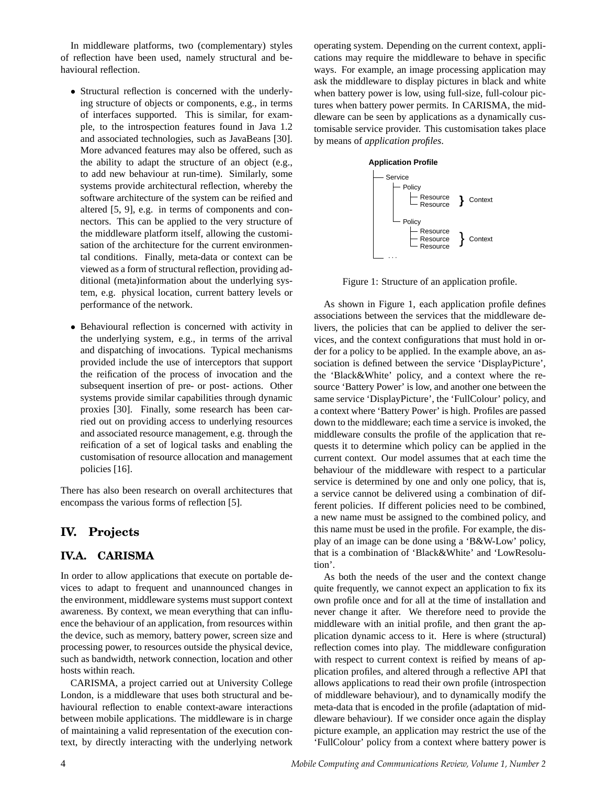In middleware platforms, two (complementary) styles of reflection have been used, namely structural and behavioural reflection.

- Structural reflection is concerned with the underlying structure of objects or components, e.g., in terms of interfaces supported. This is similar, for example, to the introspection features found in Java 1.2 and associated technologies, such as JavaBeans [30]. More advanced features may also be offered, such as the ability to adapt the structure of an object (e.g., to add new behaviour at run-time). Similarly, some systems provide architectural reflection, whereby the software architecture of the system can be reified and altered [5, 9], e.g. in terms of components and connectors. This can be applied to the very structure of the middleware platform itself, allowing the customisation of the architecture for the current environmental conditions. Finally, meta-data or context can be viewed as a form of structural reflection, providing additional (meta)information about the underlying system, e.g. physical location, current battery levels or performance of the network.
- Behavioural reflection is concerned with activity in the underlying system, e.g., in terms of the arrival and dispatching of invocations. Typical mechanisms provided include the use of interceptors that support the reification of the process of invocation and the subsequent insertion of pre- or post- actions. Other systems provide similar capabilities through dynamic proxies [30]. Finally, some research has been carried out on providing access to underlying resources and associated resource management, e.g. through the reification of a set of logical tasks and enabling the customisation of resource allocation and management policies [16].

There has also been research on overall architectures that encompass the various forms of reflection [5].

## **IV. Projects**

### **IV.A. CARISMA**

In order to allow applications that execute on portable devices to adapt to frequent and unannounced changes in the environment, middleware systems must support context awareness. By context, we mean everything that can influence the behaviour of an application, from resources within the device, such as memory, battery power, screen size and processing power, to resources outside the physical device, such as bandwidth, network connection, location and other hosts within reach.

CARISMA, a project carried out at University College London, is a middleware that uses both structural and behavioural reflection to enable context-aware interactions between mobile applications. The middleware is in charge of maintaining a valid representation of the execution context, by directly interacting with the underlying network operating system. Depending on the current context, applications may require the middleware to behave in specific ways. For example, an image processing application may ask the middleware to display pictures in black and white when battery power is low, using full-size, full-colour pictures when battery power permits. In CARISMA, the middleware can be seen by applications as a dynamically customisable service provider. This customisation takes place by means of *application profiles*.





Figure 1: Structure of an application profile.

As shown in Figure 1, each application profile defines associations between the services that the middleware delivers, the policies that can be applied to deliver the services, and the context configurations that must hold in order for a policy to be applied. In the example above, an association is defined between the service 'DisplayPicture', the 'Black&White' policy, and a context where the resource 'Battery Power' is low, and another one between the same service 'DisplayPicture', the 'FullColour' policy, and a context where 'Battery Power' is high. Profiles are passed down to the middleware; each time a service is invoked, the middleware consults the profile of the application that requests it to determine which policy can be applied in the current context. Our model assumes that at each time the behaviour of the middleware with respect to a particular service is determined by one and only one policy, that is, a service cannot be delivered using a combination of different policies. If different policies need to be combined, a new name must be assigned to the combined policy, and this name must be used in the profile. For example, the display of an image can be done using a 'B&W-Low' policy, that is a combination of 'Black&White' and 'LowResolution'.

As both the needs of the user and the context change quite frequently, we cannot expect an application to fix its own profile once and for all at the time of installation and never change it after. We therefore need to provide the middleware with an initial profile, and then grant the application dynamic access to it. Here is where (structural) reflection comes into play. The middleware configuration with respect to current context is reified by means of application profiles, and altered through a reflective API that allows applications to read their own profile (introspection of middleware behaviour), and to dynamically modify the meta-data that is encoded in the profile (adaptation of middleware behaviour). If we consider once again the display picture example, an application may restrict the use of the 'FullColour' policy from a context where battery power is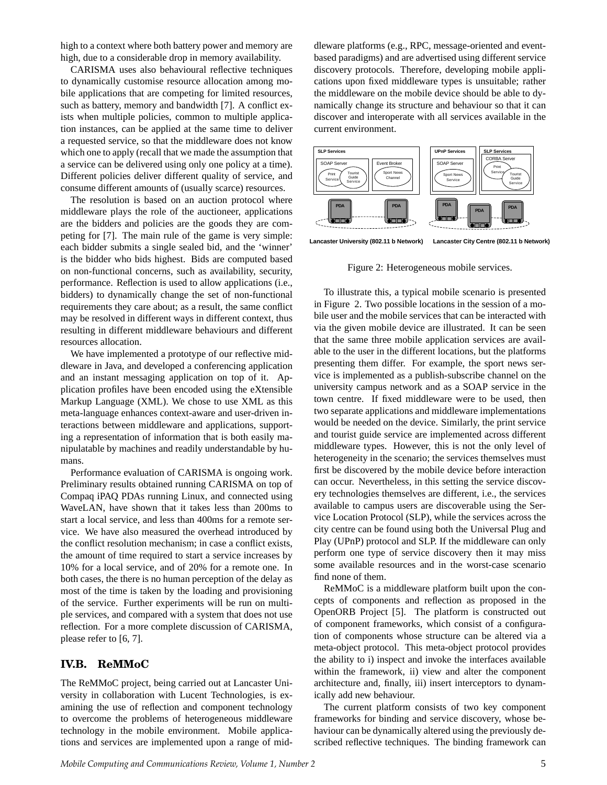high to a context where both battery power and memory are high, due to a considerable drop in memory availability.

CARISMA uses also behavioural reflective techniques to dynamically customise resource allocation among mobile applications that are competing for limited resources, such as battery, memory and bandwidth [7]. A conflict exists when multiple policies, common to multiple application instances, can be applied at the same time to deliver a requested service, so that the middleware does not know which one to apply (recall that we made the assumption that a service can be delivered using only one policy at a time). Different policies deliver different quality of service, and consume different amounts of (usually scarce) resources.

The resolution is based on an auction protocol where middleware plays the role of the auctioneer, applications are the bidders and policies are the goods they are competing for [7]. The main rule of the game is very simple: each bidder submits a single sealed bid, and the 'winner' is the bidder who bids highest. Bids are computed based on non-functional concerns, such as availability, security, performance. Reflection is used to allow applications (i.e., bidders) to dynamically change the set of non-functional requirements they care about; as a result, the same conflict may be resolved in different ways in different context, thus resulting in different middleware behaviours and different resources allocation.

We have implemented a prototype of our reflective middleware in Java, and developed a conferencing application and an instant messaging application on top of it. Application profiles have been encoded using the eXtensible Markup Language (XML). We chose to use XML as this meta-language enhances context-aware and user-driven interactions between middleware and applications, supporting a representation of information that is both easily manipulatable by machines and readily understandable by humans.

Performance evaluation of CARISMA is ongoing work. Preliminary results obtained running CARISMA on top of Compaq iPAQ PDAs running Linux, and connected using WaveLAN, have shown that it takes less than 200ms to start a local service, and less than 400ms for a remote service. We have also measured the overhead introduced by the conflict resolution mechanism; in case a conflict exists, the amount of time required to start a service increases by 10% for a local service, and of 20% for a remote one. In both cases, the there is no human perception of the delay as most of the time is taken by the loading and provisioning of the service. Further experiments will be run on multiple services, and compared with a system that does not use reflection. For a more complete discussion of CARISMA, please refer to [6, 7].

### **IV.B. ReMMoC**

The ReMMoC project, being carried out at Lancaster University in collaboration with Lucent Technologies, is examining the use of reflection and component technology to overcome the problems of heterogeneous middleware technology in the mobile environment. Mobile applications and services are implemented upon a range of middleware platforms (e.g., RPC, message-oriented and eventbased paradigms) and are advertised using different service discovery protocols. Therefore, developing mobile applications upon fixed middleware types is unsuitable; rather the middleware on the mobile device should be able to dynamically change its structure and behaviour so that it can discover and interoperate with all services available in the current environment.



**Lancaster University (802.11 b Network) Lancaster City Centre (802.11 b Network)**

Figure 2: Heterogeneous mobile services.

To illustrate this, a typical mobile scenario is presented in Figure 2. Two possible locations in the session of a mobile user and the mobile services that can be interacted with via the given mobile device are illustrated. It can be seen that the same three mobile application services are available to the user in the different locations, but the platforms presenting them differ. For example, the sport news service is implemented as a publish-subscribe channel on the university campus network and as a SOAP service in the town centre. If fixed middleware were to be used, then two separate applications and middleware implementations would be needed on the device. Similarly, the print service and tourist guide service are implemented across different middleware types. However, this is not the only level of heterogeneity in the scenario; the services themselves must first be discovered by the mobile device before interaction can occur. Nevertheless, in this setting the service discovery technologies themselves are different, i.e., the services available to campus users are discoverable using the Service Location Protocol (SLP), while the services across the city centre can be found using both the Universal Plug and Play (UPnP) protocol and SLP. If the middleware can only perform one type of service discovery then it may miss some available resources and in the worst-case scenario find none of them.

ReMMoC is a middleware platform built upon the concepts of components and reflection as proposed in the OpenORB Project [5]. The platform is constructed out of component frameworks, which consist of a configuration of components whose structure can be altered via a meta-object protocol. This meta-object protocol provides the ability to i) inspect and invoke the interfaces available within the framework, ii) view and alter the component architecture and, finally, iii) insert interceptors to dynamically add new behaviour.

The current platform consists of two key component frameworks for binding and service discovery, whose behaviour can be dynamically altered using the previously described reflective techniques. The binding framework can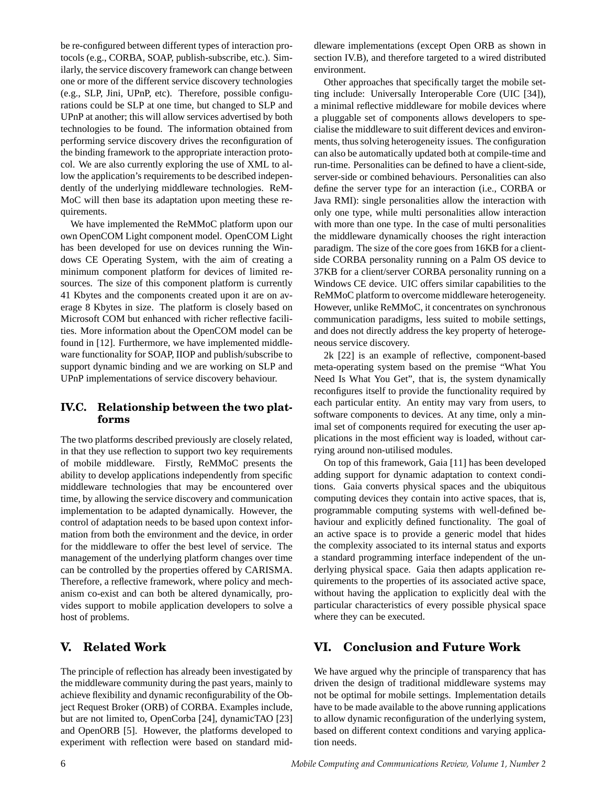be re-configured between different types of interaction protocols (e.g., CORBA, SOAP, publish-subscribe, etc.). Similarly, the service discovery framework can change between one or more of the different service discovery technologies (e.g., SLP, Jini, UPnP, etc). Therefore, possible configurations could be SLP at one time, but changed to SLP and UPnP at another; this will allow services advertised by both technologies to be found. The information obtained from performing service discovery drives the reconfiguration of the binding framework to the appropriate interaction protocol. We are also currently exploring the use of XML to allow the application's requirements to be described independently of the underlying middleware technologies. ReM-MoC will then base its adaptation upon meeting these requirements.

We have implemented the ReMMoC platform upon our own OpenCOM Light component model. OpenCOM Light has been developed for use on devices running the Windows CE Operating System, with the aim of creating a minimum component platform for devices of limited resources. The size of this component platform is currently 41 Kbytes and the components created upon it are on average 8 Kbytes in size. The platform is closely based on Microsoft COM but enhanced with richer reflective facilities. More information about the OpenCOM model can be found in [12]. Furthermore, we have implemented middleware functionality for SOAP, IIOP and publish/subscribe to support dynamic binding and we are working on SLP and UPnP implementations of service discovery behaviour.

#### **IV.C. Relationship between the two platforms**

The two platforms described previously are closely related, in that they use reflection to support two key requirements of mobile middleware. Firstly, ReMMoC presents the ability to develop applications independently from specific middleware technologies that may be encountered over time, by allowing the service discovery and communication implementation to be adapted dynamically. However, the control of adaptation needs to be based upon context information from both the environment and the device, in order for the middleware to offer the best level of service. The management of the underlying platform changes over time can be controlled by the properties offered by CARISMA. Therefore, a reflective framework, where policy and mechanism co-exist and can both be altered dynamically, provides support to mobile application developers to solve a host of problems.

### **V. Related Work**

The principle of reflection has already been investigated by the middleware community during the past years, mainly to achieve flexibility and dynamic reconfigurability of the Object Request Broker (ORB) of CORBA. Examples include, but are not limited to, OpenCorba [24], dynamicTAO [23] and OpenORB [5]. However, the platforms developed to experiment with reflection were based on standard middleware implementations (except Open ORB as shown in section IV.B), and therefore targeted to a wired distributed environment.

Other approaches that specifically target the mobile setting include: Universally Interoperable Core (UIC [34]), a minimal reflective middleware for mobile devices where a pluggable set of components allows developers to specialise the middleware to suit different devices and environments, thus solving heterogeneity issues. The configuration can also be automatically updated both at compile-time and run-time. Personalities can be defined to have a client-side, server-side or combined behaviours. Personalities can also define the server type for an interaction (i.e., CORBA or Java RMI): single personalities allow the interaction with only one type, while multi personalities allow interaction with more than one type. In the case of multi personalities the middleware dynamically chooses the right interaction paradigm. The size of the core goes from 16KB for a clientside CORBA personality running on a Palm OS device to 37KB for a client/server CORBA personality running on a Windows CE device. UIC offers similar capabilities to the ReMMoC platform to overcome middleware heterogeneity. However, unlike ReMMoC, it concentrates on synchronous communication paradigms, less suited to mobile settings, and does not directly address the key property of heterogeneous service discovery.

2k [22] is an example of reflective, component-based meta-operating system based on the premise "What You Need Is What You Get", that is, the system dynamically reconfigures itself to provide the functionality required by each particular entity. An entity may vary from users, to software components to devices. At any time, only a minimal set of components required for executing the user applications in the most efficient way is loaded, without carrying around non-utilised modules.

On top of this framework, Gaia [11] has been developed adding support for dynamic adaptation to context conditions. Gaia converts physical spaces and the ubiquitous computing devices they contain into active spaces, that is, programmable computing systems with well-defined behaviour and explicitly defined functionality. The goal of an active space is to provide a generic model that hides the complexity associated to its internal status and exports a standard programming interface independent of the underlying physical space. Gaia then adapts application requirements to the properties of its associated active space, without having the application to explicitly deal with the particular characteristics of every possible physical space where they can be executed.

### **VI. Conclusion and Future Work**

We have argued why the principle of transparency that has driven the design of traditional middleware systems may not be optimal for mobile settings. Implementation details have to be made available to the above running applications to allow dynamic reconfiguration of the underlying system, based on different context conditions and varying application needs.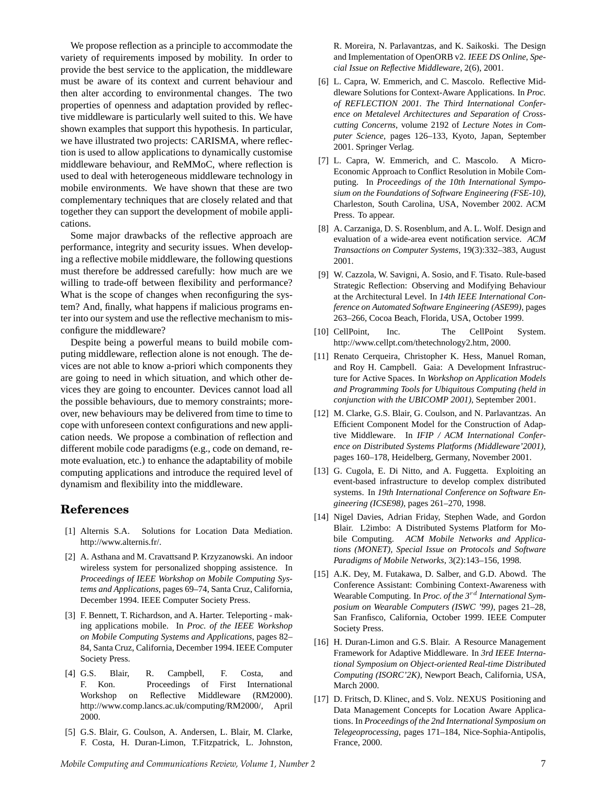We propose reflection as a principle to accommodate the variety of requirements imposed by mobility. In order to provide the best service to the application, the middleware must be aware of its context and current behaviour and then alter according to environmental changes. The two properties of openness and adaptation provided by reflective middleware is particularly well suited to this. We have shown examples that support this hypothesis. In particular, we have illustrated two projects: CARISMA, where reflection is used to allow applications to dynamically customise middleware behaviour, and ReMMoC, where reflection is used to deal with heterogeneous middleware technology in mobile environments. We have shown that these are two complementary techniques that are closely related and that together they can support the development of mobile applications.

Some major drawbacks of the reflective approach are performance, integrity and security issues. When developing a reflective mobile middleware, the following questions must therefore be addressed carefully: how much are we willing to trade-off between flexibility and performance? What is the scope of changes when reconfiguring the system? And, finally, what happens if malicious programs enter into our system and use the reflective mechanism to misconfigure the middleware?

Despite being a powerful means to build mobile computing middleware, reflection alone is not enough. The devices are not able to know a-priori which components they are going to need in which situation, and which other devices they are going to encounter. Devices cannot load all the possible behaviours, due to memory constraints; moreover, new behaviours may be delivered from time to time to cope with unforeseen context configurations and new application needs. We propose a combination of reflection and different mobile code paradigms (e.g., code on demand, remote evaluation, etc.) to enhance the adaptability of mobile computing applications and introduce the required level of dynamism and flexibility into the middleware.

### **References**

- [1] Alternis S.A. Solutions for Location Data Mediation. http://www.alternis.fr/.
- [2] A. Asthana and M. Cravattsand P. Krzyzanowski. An indoor wireless system for personalized shopping assistence. In *Proceedings of IEEE Workshop on Mobile Computing Systems and Applications*, pages 69–74, Santa Cruz, California, December 1994. IEEE Computer Society Press.
- [3] F. Bennett, T. Richardson, and A. Harter. Teleporting making applications mobile. In *Proc. of the IEEE Workshop on Mobile Computing Systems and Applications*, pages 82– 84, Santa Cruz, California, December 1994. IEEE Computer Society Press.
- [4] G.S. Blair, R. Campbell, F. Costa, and F. Kon. Proceedings of First International Workshop on Reflective Middleware (RM2000). http://www.comp.lancs.ac.uk/computing/RM2000/, April 2000.
- [5] G.S. Blair, G. Coulson, A. Andersen, L. Blair, M. Clarke, F. Costa, H. Duran-Limon, T.Fitzpatrick, L. Johnston,

R. Moreira, N. Parlavantzas, and K. Saikoski. The Design and Implementation of OpenORB v2. *IEEE DS Online, Special Issue on Reflective Middleware*, 2(6), 2001.

- [6] L. Capra, W. Emmerich, and C. Mascolo. Reflective Middleware Solutions for Context-Aware Applications. In *Proc. of REFLECTION 2001. The Third International Conference on Metalevel Architectures and Separation of Crosscutting Concerns*, volume 2192 of *Lecture Notes in Computer Science*, pages 126–133, Kyoto, Japan, September 2001. Springer Verlag.
- [7] L. Capra, W. Emmerich, and C. Mascolo. A Micro-Economic Approach to Conflict Resolution in Mobile Computing. In *Proceedings of the 10th International Symposium on the Foundations of Software Engineering (FSE-10)*, Charleston, South Carolina, USA, November 2002. ACM Press. To appear.
- [8] A. Carzaniga, D. S. Rosenblum, and A. L. Wolf. Design and evaluation of a wide-area event notification service. *ACM Transactions on Computer Systems*, 19(3):332–383, August 2001.
- [9] W. Cazzola, W. Savigni, A. Sosio, and F. Tisato. Rule-based Strategic Reflection: Observing and Modifying Behaviour at the Architectural Level. In *14th IEEE International Conference on Automated Software Engineering (ASE99)*, pages 263–266, Cocoa Beach, Florida, USA, October 1999.
- [10] CellPoint, Inc. The CellPoint System. http://www.cellpt.com/thetechnology2.htm, 2000.
- [11] Renato Cerqueira, Christopher K. Hess, Manuel Roman, and Roy H. Campbell. Gaia: A Development Infrastructure for Active Spaces. In *Workshop on Application Models and Programming Tools for Ubiquitous Computing (held in conjunction with the UBICOMP 2001)*, September 2001.
- [12] M. Clarke, G.S. Blair, G. Coulson, and N. Parlavantzas. An Efficient Component Model for the Construction of Adaptive Middleware. In *IFIP / ACM International Conference on Distributed Systems Platforms (Middleware'2001)*, pages 160–178, Heidelberg, Germany, November 2001.
- [13] G. Cugola, E. Di Nitto, and A. Fuggetta. Exploiting an event-based infrastructure to develop complex distributed systems. In *19th International Conference on Software Engineering (ICSE98)*, pages 261–270, 1998.
- [14] Nigel Davies, Adrian Friday, Stephen Wade, and Gordon Blair. L2imbo: A Distributed Systems Platform for Mobile Computing. *ACM Mobile Networks and Applications (MONET), Special Issue on Protocols and Software Paradigms of Mobile Networks*, 3(2):143–156, 1998.
- [15] A.K. Dey, M. Futakawa, D. Salber, and G.D. Abowd. The Conference Assistant: Combining Context-Awareness with Wearable Computing. In *Proc. of the 3*rd *International Symposium on Wearable Computers (ISWC '99)*, pages 21–28, San Franfisco, California, October 1999. IEEE Computer Society Press.
- [16] H. Duran-Limon and G.S. Blair. A Resource Management Framework for Adaptive Middleware. In *3rd IEEE International Symposium on Object-oriented Real-time Distributed Computing (ISORC'2K)*, Newport Beach, California, USA, March 2000.
- [17] D. Fritsch, D. Klinec, and S. Volz. NEXUS Positioning and Data Management Concepts for Location Aware Applications. In *Proceedings of the 2nd International Symposium on Telegeoprocessing*, pages 171–184, Nice-Sophia-Antipolis, France, 2000.